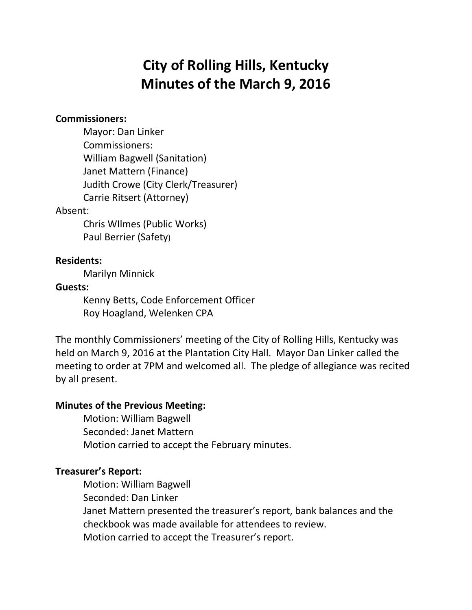# **City of Rolling Hills, Kentucky Minutes of the March 9, 2016**

## **Commissioners:**

Mayor: Dan Linker Commissioners: William Bagwell (Sanitation) Janet Mattern (Finance) Judith Crowe (City Clerk/Treasurer) Carrie Ritsert (Attorney)

#### Absent:

Chris WIlmes (Public Works) Paul Berrier (Safety)

## **Residents:**

Marilyn Minnick

#### **Guests:**

Kenny Betts, Code Enforcement Officer Roy Hoagland, Welenken CPA

The monthly Commissioners' meeting of the City of Rolling Hills, Kentucky was held on March 9, 2016 at the Plantation City Hall. Mayor Dan Linker called the meeting to order at 7PM and welcomed all. The pledge of allegiance was recited by all present.

## **Minutes of the Previous Meeting:**

Motion: William Bagwell Seconded: Janet Mattern Motion carried to accept the February minutes.

## **Treasurer's Report:**

Motion: William Bagwell Seconded: Dan Linker Janet Mattern presented the treasurer's report, bank balances and the checkbook was made available for attendees to review. Motion carried to accept the Treasurer's report.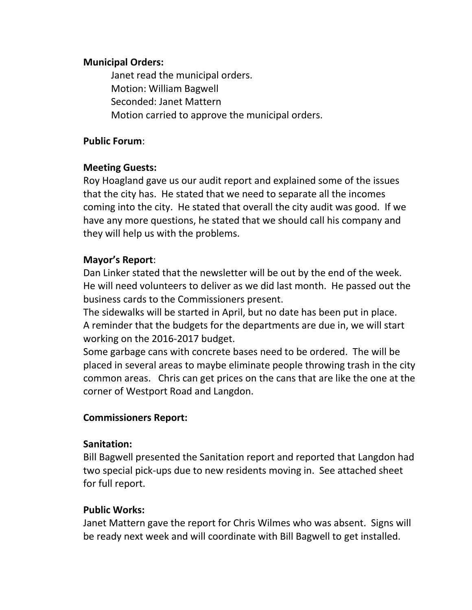## **Municipal Orders:**

Janet read the municipal orders. Motion: William Bagwell Seconded: Janet Mattern Motion carried to approve the municipal orders.

## **Public Forum**:

## **Meeting Guests:**

Roy Hoagland gave us our audit report and explained some of the issues that the city has. He stated that we need to separate all the incomes coming into the city. He stated that overall the city audit was good. If we have any more questions, he stated that we should call his company and they will help us with the problems.

# **Mayor's Report**:

Dan Linker stated that the newsletter will be out by the end of the week. He will need volunteers to deliver as we did last month. He passed out the business cards to the Commissioners present.

The sidewalks will be started in April, but no date has been put in place. A reminder that the budgets for the departments are due in, we will start working on the 2016-2017 budget.

Some garbage cans with concrete bases need to be ordered. The will be placed in several areas to maybe eliminate people throwing trash in the city common areas. Chris can get prices on the cans that are like the one at the corner of Westport Road and Langdon.

# **Commissioners Report:**

## **Sanitation:**

Bill Bagwell presented the Sanitation report and reported that Langdon had two special pick-ups due to new residents moving in. See attached sheet for full report.

# **Public Works:**

Janet Mattern gave the report for Chris Wilmes who was absent. Signs will be ready next week and will coordinate with Bill Bagwell to get installed.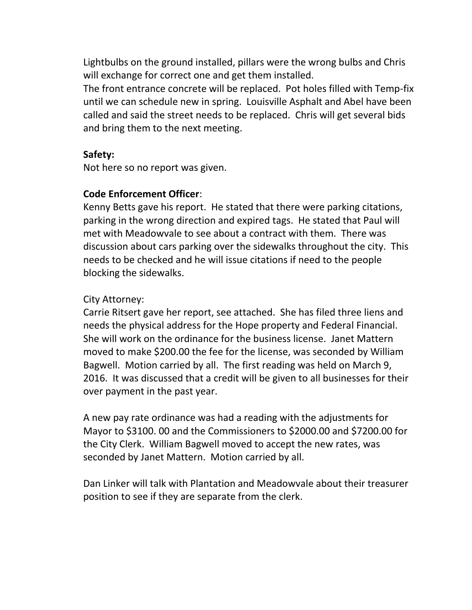Lightbulbs on the ground installed, pillars were the wrong bulbs and Chris will exchange for correct one and get them installed.

The front entrance concrete will be replaced. Pot holes filled with Temp-fix until we can schedule new in spring. Louisville Asphalt and Abel have been called and said the street needs to be replaced. Chris will get several bids and bring them to the next meeting.

## **Safety:**

Not here so no report was given.

# **Code Enforcement Officer**:

Kenny Betts gave his report. He stated that there were parking citations, parking in the wrong direction and expired tags. He stated that Paul will met with Meadowvale to see about a contract with them. There was discussion about cars parking over the sidewalks throughout the city. This needs to be checked and he will issue citations if need to the people blocking the sidewalks.

# City Attorney:

Carrie Ritsert gave her report, see attached. She has filed three liens and needs the physical address for the Hope property and Federal Financial. She will work on the ordinance for the business license. Janet Mattern moved to make \$200.00 the fee for the license, was seconded by William Bagwell. Motion carried by all. The first reading was held on March 9, 2016. It was discussed that a credit will be given to all businesses for their over payment in the past year.

A new pay rate ordinance was had a reading with the adjustments for Mayor to \$3100. 00 and the Commissioners to \$2000.00 and \$7200.00 for the City Clerk. William Bagwell moved to accept the new rates, was seconded by Janet Mattern. Motion carried by all.

Dan Linker will talk with Plantation and Meadowvale about their treasurer position to see if they are separate from the clerk.